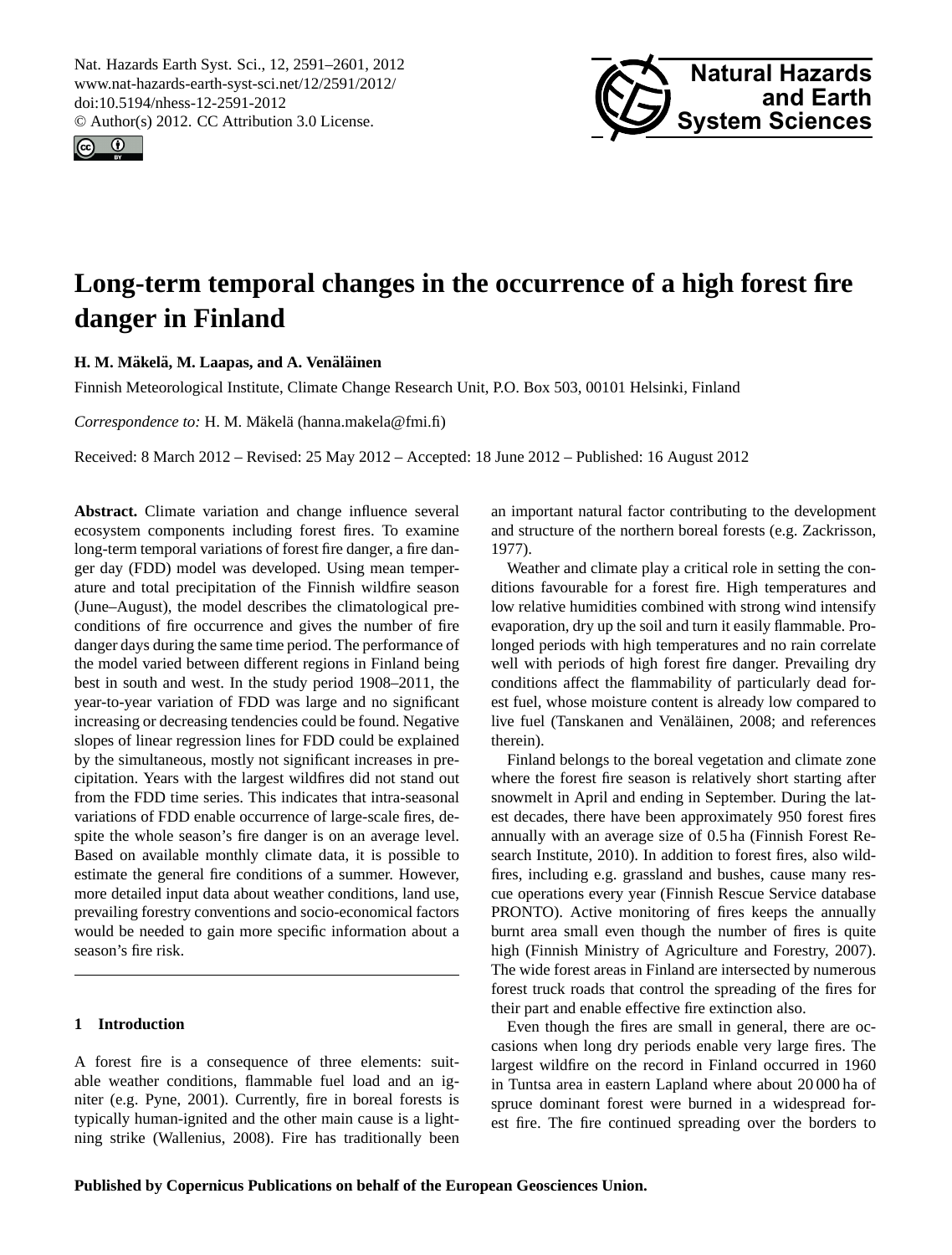<span id="page-0-0"></span>Nat. Hazards Earth Syst. Sci., 12, 2591–2601, 2012 www.nat-hazards-earth-syst-sci.net/12/2591/2012/ doi:10.5194/nhess-12-2591-2012 © Author(s) 2012. CC Attribution 3.0 License.





# **Long-term temporal changes in the occurrence of a high forest fire danger in Finland**

# **H. M. Mäkelä, M. Laapas, and A. Venäläinen**

Finnish Meteorological Institute, Climate Change Research Unit, P.O. Box 503, 00101 Helsinki, Finland

*Correspondence to:* H. M. Mäkelä (hanna.makela@fmi.fi)

Received: 8 March 2012 – Revised: 25 May 2012 – Accepted: 18 June 2012 – Published: 16 August 2012

**Abstract.** Climate variation and change influence several ecosystem components including forest fires. To examine long-term temporal variations of forest fire danger, a fire danger day (FDD) model was developed. Using mean temperature and total precipitation of the Finnish wildfire season (June–August), the model describes the climatological preconditions of fire occurrence and gives the number of fire danger days during the same time period. The performance of the model varied between different regions in Finland being best in south and west. In the study period 1908–2011, the year-to-year variation of FDD was large and no significant increasing or decreasing tendencies could be found. Negative slopes of linear regression lines for FDD could be explained by the simultaneous, mostly not significant increases in precipitation. Years with the largest wildfires did not stand out from the FDD time series. This indicates that intra-seasonal variations of FDD enable occurrence of large-scale fires, despite the whole season's fire danger is on an average level. Based on available monthly climate data, it is possible to estimate the general fire conditions of a summer. However, more detailed input data about weather conditions, land use, prevailing forestry conventions and socio-economical factors would be needed to gain more specific information about a season's fire risk.

# **1 Introduction**

A forest fire is a consequence of three elements: suitable weather conditions, flammable fuel load and an igniter (e.g. Pyne, 2001). Currently, fire in boreal forests is typically human-ignited and the other main cause is a lightning strike (Wallenius, 2008). Fire has traditionally been an important natural factor contributing to the development and structure of the northern boreal forests (e.g. Zackrisson, 1977).

Weather and climate play a critical role in setting the conditions favourable for a forest fire. High temperatures and low relative humidities combined with strong wind intensify evaporation, dry up the soil and turn it easily flammable. Prolonged periods with high temperatures and no rain correlate well with periods of high forest fire danger. Prevailing dry conditions affect the flammability of particularly dead forest fuel, whose moisture content is already low compared to live fuel (Tanskanen and Venäläinen, 2008; and references therein).

Finland belongs to the boreal vegetation and climate zone where the forest fire season is relatively short starting after snowmelt in April and ending in September. During the latest decades, there have been approximately 950 forest fires annually with an average size of 0.5 ha (Finnish Forest Research Institute, 2010). In addition to forest fires, also wildfires, including e.g. grassland and bushes, cause many rescue operations every year (Finnish Rescue Service database PRONTO). Active monitoring of fires keeps the annually burnt area small even though the number of fires is quite high (Finnish Ministry of Agriculture and Forestry, 2007). The wide forest areas in Finland are intersected by numerous forest truck roads that control the spreading of the fires for their part and enable effective fire extinction also.

Even though the fires are small in general, there are occasions when long dry periods enable very large fires. The largest wildfire on the record in Finland occurred in 1960 in Tuntsa area in eastern Lapland where about 20 000 ha of spruce dominant forest were burned in a widespread forest fire. The fire continued spreading over the borders to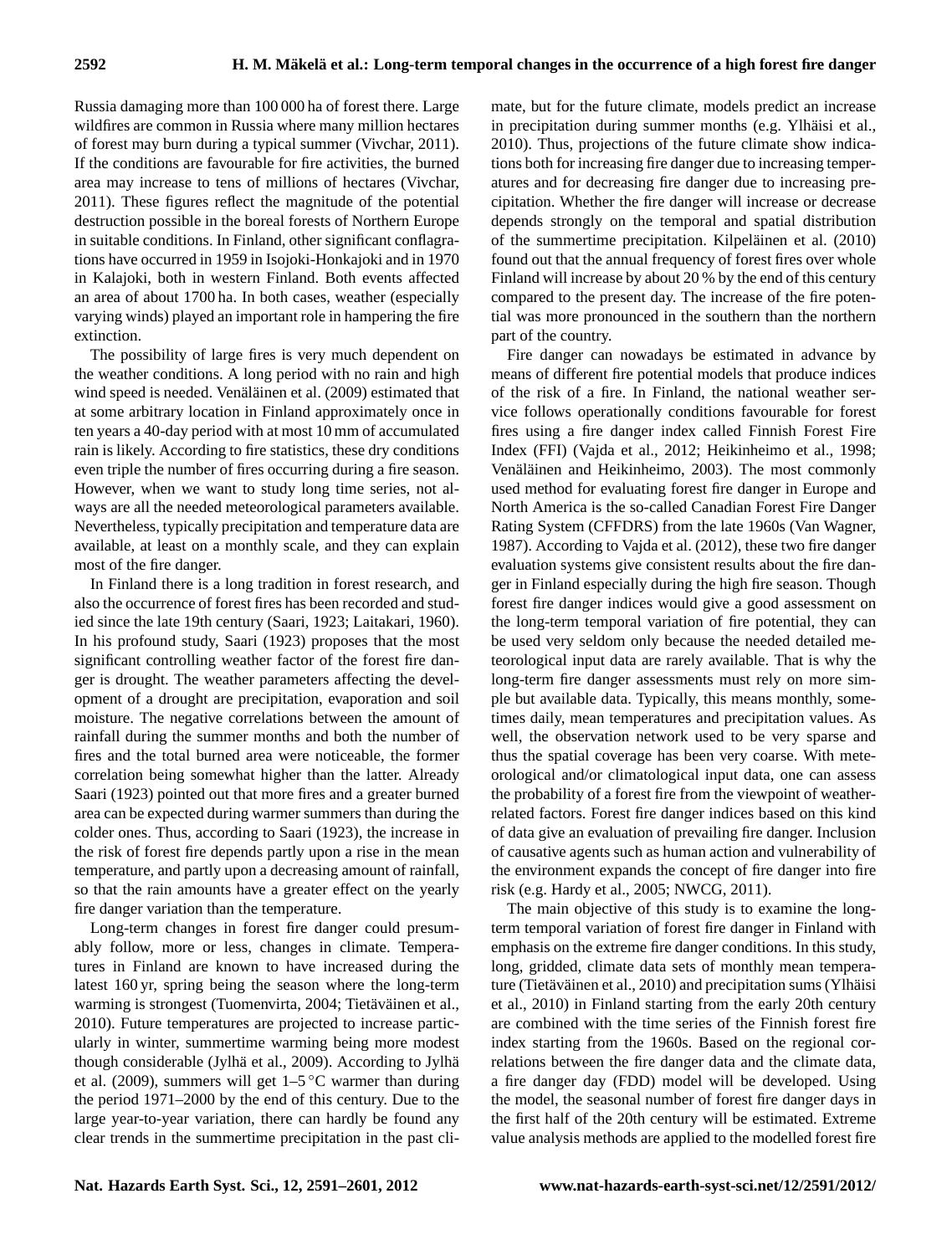Russia damaging more than 100 000 ha of forest there. Large wildfires are common in Russia where many million hectares of forest may burn during a typical summer (Vivchar, 2011). If the conditions are favourable for fire activities, the burned area may increase to tens of millions of hectares (Vivchar, 2011). These figures reflect the magnitude of the potential destruction possible in the boreal forests of Northern Europe in suitable conditions. In Finland, other significant conflagrations have occurred in 1959 in Isojoki-Honkajoki and in 1970 in Kalajoki, both in western Finland. Both events affected an area of about 1700 ha. In both cases, weather (especially varying winds) played an important role in hampering the fire extinction.

The possibility of large fires is very much dependent on the weather conditions. A long period with no rain and high wind speed is needed. Venäläinen et al. (2009) estimated that at some arbitrary location in Finland approximately once in ten years a 40-day period with at most 10 mm of accumulated rain is likely. According to fire statistics, these dry conditions even triple the number of fires occurring during a fire season. However, when we want to study long time series, not always are all the needed meteorological parameters available. Nevertheless, typically precipitation and temperature data are available, at least on a monthly scale, and they can explain most of the fire danger.

In Finland there is a long tradition in forest research, and also the occurrence of forest fires has been recorded and studied since the late 19th century (Saari, 1923; Laitakari, 1960). In his profound study, Saari (1923) proposes that the most significant controlling weather factor of the forest fire danger is drought. The weather parameters affecting the development of a drought are precipitation, evaporation and soil moisture. The negative correlations between the amount of rainfall during the summer months and both the number of fires and the total burned area were noticeable, the former correlation being somewhat higher than the latter. Already Saari (1923) pointed out that more fires and a greater burned area can be expected during warmer summers than during the colder ones. Thus, according to Saari (1923), the increase in the risk of forest fire depends partly upon a rise in the mean temperature, and partly upon a decreasing amount of rainfall, so that the rain amounts have a greater effect on the yearly fire danger variation than the temperature.

Long-term changes in forest fire danger could presumably follow, more or less, changes in climate. Temperatures in Finland are known to have increased during the latest 160 yr, spring being the season where the long-term warming is strongest (Tuomenvirta, 2004; Tietäväinen et al., 2010). Future temperatures are projected to increase particularly in winter, summertime warming being more modest though considerable (Jylhä et al., 2009). According to Jylhä et al. (2009), summers will get  $1-5\degree$ C warmer than during the period 1971–2000 by the end of this century. Due to the large year-to-year variation, there can hardly be found any clear trends in the summertime precipitation in the past climate, but for the future climate, models predict an increase in precipitation during summer months (e.g. Ylhäisi et al., 2010). Thus, projections of the future climate show indications both for increasing fire danger due to increasing temperatures and for decreasing fire danger due to increasing precipitation. Whether the fire danger will increase or decrease depends strongly on the temporal and spatial distribution of the summertime precipitation. Kilpeläinen et al.  $(2010)$ found out that the annual frequency of forest fires over whole Finland will increase by about 20 % by the end of this century compared to the present day. The increase of the fire potential was more pronounced in the southern than the northern part of the country.

Fire danger can nowadays be estimated in advance by means of different fire potential models that produce indices of the risk of a fire. In Finland, the national weather service follows operationally conditions favourable for forest fires using a fire danger index called Finnish Forest Fire Index (FFI) (Vajda et al., 2012; Heikinheimo et al., 1998; Venäläinen and Heikinheimo, 2003). The most commonly used method for evaluating forest fire danger in Europe and North America is the so-called Canadian Forest Fire Danger Rating System (CFFDRS) from the late 1960s (Van Wagner, 1987). According to Vajda et al. (2012), these two fire danger evaluation systems give consistent results about the fire danger in Finland especially during the high fire season. Though forest fire danger indices would give a good assessment on the long-term temporal variation of fire potential, they can be used very seldom only because the needed detailed meteorological input data are rarely available. That is why the long-term fire danger assessments must rely on more simple but available data. Typically, this means monthly, sometimes daily, mean temperatures and precipitation values. As well, the observation network used to be very sparse and thus the spatial coverage has been very coarse. With meteorological and/or climatological input data, one can assess the probability of a forest fire from the viewpoint of weatherrelated factors. Forest fire danger indices based on this kind of data give an evaluation of prevailing fire danger. Inclusion of causative agents such as human action and vulnerability of the environment expands the concept of fire danger into fire risk (e.g. Hardy et al., 2005; NWCG, 2011).

The main objective of this study is to examine the longterm temporal variation of forest fire danger in Finland with emphasis on the extreme fire danger conditions. In this study, long, gridded, climate data sets of monthly mean temperature (Tietäväinen et al., 2010) and precipitation sums (Ylhäisi et al., 2010) in Finland starting from the early 20th century are combined with the time series of the Finnish forest fire index starting from the 1960s. Based on the regional correlations between the fire danger data and the climate data, a fire danger day (FDD) model will be developed. Using the model, the seasonal number of forest fire danger days in the first half of the 20th century will be estimated. Extreme value analysis methods are applied to the modelled forest fire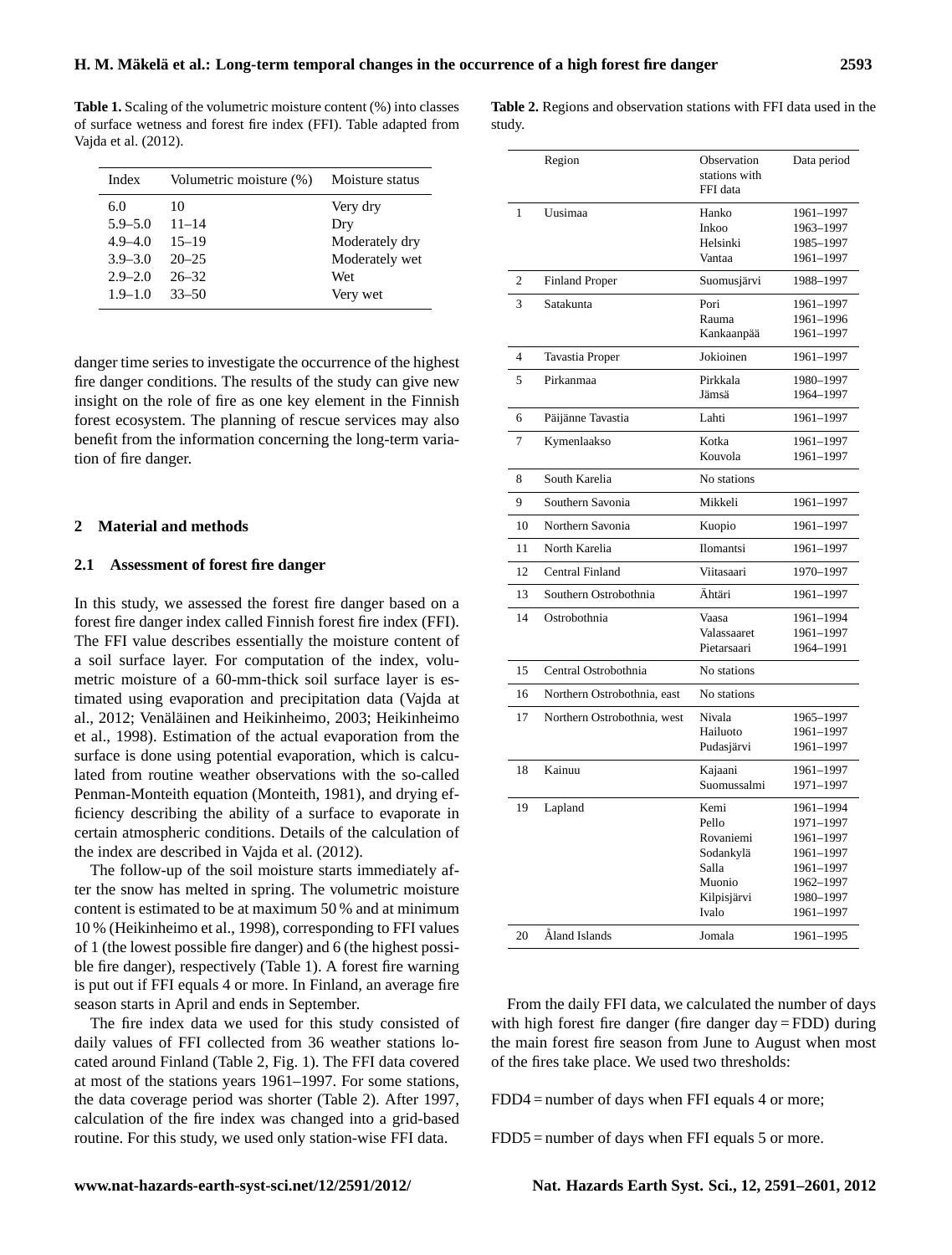**Table 1.** Scaling of the volumetric moisture content (%) into classes of surface wetness and forest fire index (FFI). Table adapted from Vajda et al. (2012).

| Index       | Volumetric moisture (%) | Moisture status |
|-------------|-------------------------|-----------------|
| 6.0         | 10                      | Very dry        |
| $5.9 - 5.0$ | $11 - 14$               | Dry             |
| $4.9 - 4.0$ | $15 - 19$               | Moderately dry  |
| $3.9 - 3.0$ | $20 - 25$               | Moderately wet  |
| $2.9 - 2.0$ | $26 - 32$               | Wet             |
| $1.9 - 1.0$ | $33 - 50$               | Very wet        |

danger time series to investigate the occurrence of the highest fire danger conditions. The results of the study can give new insight on the role of fire as one key element in the Finnish forest ecosystem. The planning of rescue services may also benefit from the information concerning the long-term variation of fire danger.

## **2 Material and methods**

# **2.1 Assessment of forest fire danger**

In this study, we assessed the forest fire danger based on a forest fire danger index called Finnish forest fire index (FFI). The FFI value describes essentially the moisture content of a soil surface layer. For computation of the index, volumetric moisture of a 60-mm-thick soil surface layer is estimated using evaporation and precipitation data (Vajda at al., 2012; Venäläinen and Heikinheimo, 2003; Heikinheimo et al., 1998). Estimation of the actual evaporation from the surface is done using potential evaporation, which is calculated from routine weather observations with the so-called Penman-Monteith equation (Monteith, 1981), and drying efficiency describing the ability of a surface to evaporate in certain atmospheric conditions. Details of the calculation of the index are described in Vajda et al. (2012).

The follow-up of the soil moisture starts immediately after the snow has melted in spring. The volumetric moisture content is estimated to be at maximum 50 % and at minimum 10 % (Heikinheimo et al., 1998), corresponding to FFI values of 1 (the lowest possible fire danger) and 6 (the highest possible fire danger), respectively (Table 1). A forest fire warning is put out if FFI equals 4 or more. In Finland, an average fire season starts in April and ends in September.

The fire index data we used for this study consisted of daily values of FFI collected from 36 weather stations located around Finland (Table 2, Fig. 1). The FFI data covered at most of the stations years 1961–1997. For some stations, the data coverage period was shorter (Table 2). After 1997, calculation of the fire index was changed into a grid-based routine. For this study, we used only station-wise FFI data.

|                | Region                      | Observation<br>stations with<br>FFI data                                           | Data period                                                                                          |
|----------------|-----------------------------|------------------------------------------------------------------------------------|------------------------------------------------------------------------------------------------------|
| 1              | Uusimaa                     | Hanko<br>Inkoo<br>Helsinki<br>Vantaa                                               | 1961-1997<br>1963-1997<br>1985-1997<br>1961-1997                                                     |
| $\overline{2}$ | <b>Finland Proper</b>       | Suomusjärvi                                                                        | 1988-1997                                                                                            |
| 3              | Satakunta                   | Pori<br>Rauma<br>Kankaanpää                                                        | 1961-1997<br>1961-1996<br>1961-1997                                                                  |
| 4              | Tavastia Proper             | Jokioinen                                                                          | 1961-1997                                                                                            |
| 5              | Pirkanmaa                   | Pirkkala<br>Jämsä                                                                  | 1980-1997<br>1964-1997                                                                               |
| 6              | Päijänne Tavastia           | Lahti                                                                              | 1961–1997                                                                                            |
| 7              | Kymenlaakso                 | Kotka<br>Kouvola                                                                   | 1961-1997<br>1961–1997                                                                               |
| 8              | South Karelia               | No stations                                                                        |                                                                                                      |
| 9              | Southern Savonia            | Mikkeli                                                                            | 1961-1997                                                                                            |
| 10             | Northern Savonia            | Kuopio                                                                             | 1961-1997                                                                                            |
| 11             | North Karelia               | Ilomantsi                                                                          | 1961-1997                                                                                            |
| 12             | <b>Central Finland</b>      | Viitasaari                                                                         | 1970–1997                                                                                            |
| 13             | Southern Ostrobothnia       | Ähtäri                                                                             | 1961-1997                                                                                            |
| 14             | Ostrobothnia                | Vaasa<br>Valassaaret<br>Pietarsaari                                                | 1961-1994<br>1961–1997<br>1964-1991                                                                  |
| 15             | Central Ostrobothnia        | No stations                                                                        |                                                                                                      |
| 16             | Northern Ostrobothnia, east | No stations                                                                        |                                                                                                      |
| 17             | Northern Ostrobothnia, west | Nivala<br>Hailuoto<br>Pudasjärvi                                                   | 1965-1997<br>1961-1997<br>1961-1997                                                                  |
| 18             | Kainuu                      | Kajaani<br>Suomussalmi                                                             | 1961–1997<br>1971-1997                                                                               |
| 19             | Lapland                     | Kemi<br>Pello<br>Rovaniemi<br>Sodankylä<br>Salla<br>Muonio<br>Kilpisjärvi<br>Ivalo | 1961–1994<br>1971-1997<br>1961–1997<br>1961–1997<br>1961–1997<br>1962-1997<br>1980–1997<br>1961-1997 |
| 20             | Åland Islands               | Jomala                                                                             | 1961-1995                                                                                            |

From the daily FFI data, we calculated the number of days with high forest fire danger (fire danger day = FDD) during the main forest fire season from June to August when most of the fires take place. We used two thresholds:

FDD4 = number of days when FFI equals 4 or more;

FDD5 = number of days when FFI equals 5 or more.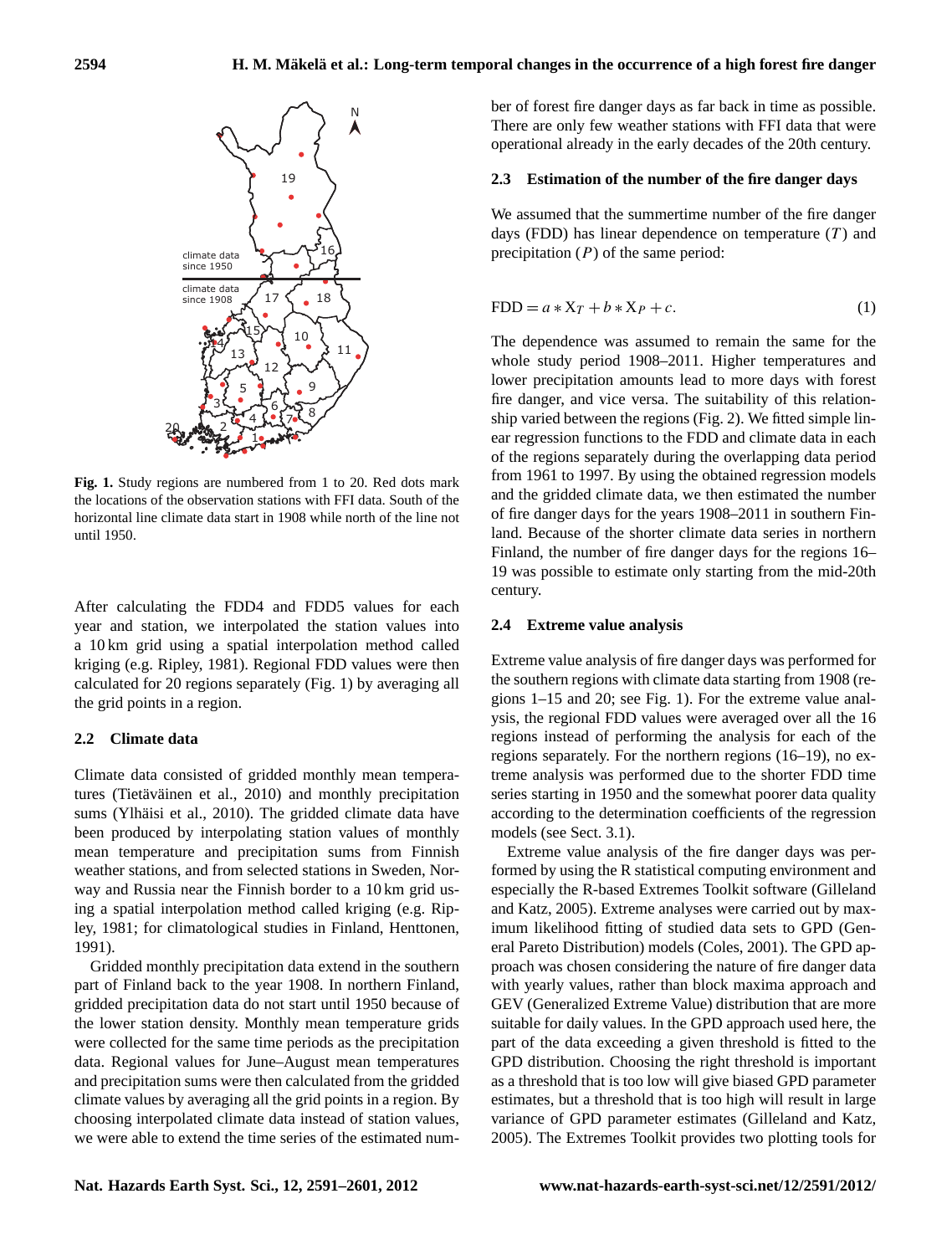

**Fig. 1.** Study regions are numbered from 1 to 20. Red dots mark the locations of the observation stations with FFI data. South of the horizontal line climate data start in 1908 while north of the line not until 1950.

After calculating the FDD4 and FDD5 values for each year and station, we interpolated the station values into a 10 km grid using a spatial interpolation method called kriging (e.g. Ripley, 1981). Regional FDD values were then calculated for 20 regions separately (Fig. 1) by averaging all the grid points in a region.

# **2.2 Climate data**

Climate data consisted of gridded monthly mean temperatures (Tietäväinen et al., 2010) and monthly precipitation sums (Ylhäisi et al., 2010). The gridded climate data have been produced by interpolating station values of monthly mean temperature and precipitation sums from Finnish weather stations, and from selected stations in Sweden, Norway and Russia near the Finnish border to a 10 km grid using a spatial interpolation method called kriging (e.g. Ripley, 1981; for climatological studies in Finland, Henttonen, 1991).

Gridded monthly precipitation data extend in the southern part of Finland back to the year 1908. In northern Finland, gridded precipitation data do not start until 1950 because of the lower station density. Monthly mean temperature grids were collected for the same time periods as the precipitation data. Regional values for June–August mean temperatures and precipitation sums were then calculated from the gridded climate values by averaging all the grid points in a region. By choosing interpolated climate data instead of station values, we were able to extend the time series of the estimated number of forest fire danger days as far back in time as possible. There are only few weather stations with FFI data that were operational already in the early decades of the 20th century.

# **2.3 Estimation of the number of the fire danger days**

We assumed that the summertime number of the fire danger days (FDD) has linear dependence on temperature  $(T)$  and precipitation  $(P)$  of the same period:

$$
FDD = a * X_T + b * X_P + c. \tag{1}
$$

The dependence was assumed to remain the same for the whole study period 1908–2011. Higher temperatures and lower precipitation amounts lead to more days with forest fire danger, and vice versa. The suitability of this relationship varied between the regions (Fig. 2). We fitted simple linear regression functions to the FDD and climate data in each of the regions separately during the overlapping data period from 1961 to 1997. By using the obtained regression models and the gridded climate data, we then estimated the number of fire danger days for the years 1908–2011 in southern Finland. Because of the shorter climate data series in northern Finland, the number of fire danger days for the regions 16– 19 was possible to estimate only starting from the mid-20th century.

#### **2.4 Extreme value analysis**

Extreme value analysis of fire danger days was performed for the southern regions with climate data starting from 1908 (regions 1–15 and 20; see Fig. 1). For the extreme value analysis, the regional FDD values were averaged over all the 16 regions instead of performing the analysis for each of the regions separately. For the northern regions (16–19), no extreme analysis was performed due to the shorter FDD time series starting in 1950 and the somewhat poorer data quality according to the determination coefficients of the regression models (see Sect. 3.1).

Extreme value analysis of the fire danger days was performed by using the R statistical computing environment and especially the R-based Extremes Toolkit software (Gilleland and Katz, 2005). Extreme analyses were carried out by maximum likelihood fitting of studied data sets to GPD (General Pareto Distribution) models (Coles, 2001). The GPD approach was chosen considering the nature of fire danger data with yearly values, rather than block maxima approach and GEV (Generalized Extreme Value) distribution that are more suitable for daily values. In the GPD approach used here, the part of the data exceeding a given threshold is fitted to the GPD distribution. Choosing the right threshold is important as a threshold that is too low will give biased GPD parameter estimates, but a threshold that is too high will result in large variance of GPD parameter estimates (Gilleland and Katz, 2005). The Extremes Toolkit provides two plotting tools for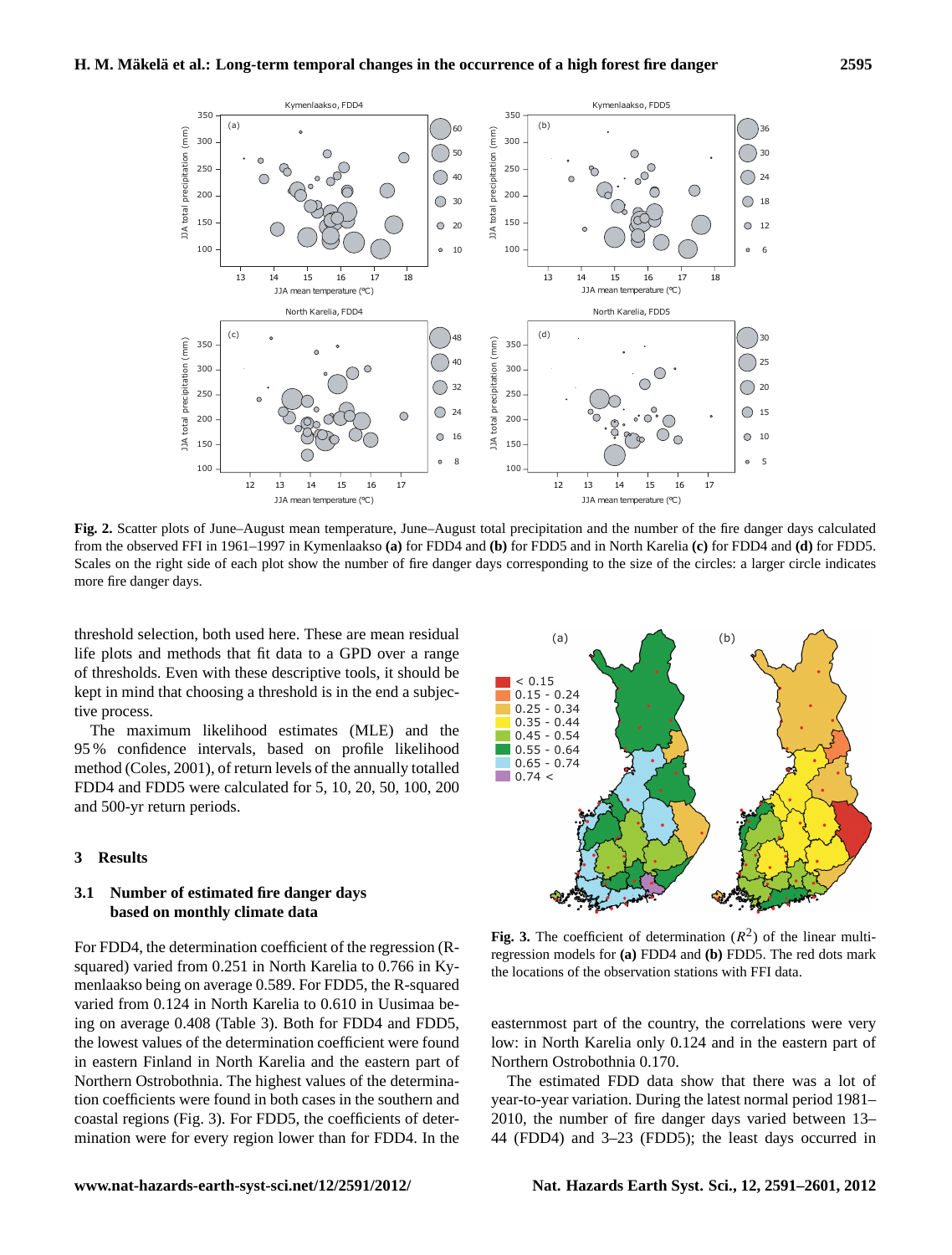

**Fig. 2.** Scatter plots of June–August mean temperature, June–August total precipitation and the number of the fire danger days calculated from the observed FFI in 1961–1997 in Kymenlaakso **(a)** for FDD4 and **(b)** for FDD5 and in North Karelia **(c)** for FDD4 and **(d)** for FDD5. Scales on the right side of each plot show the number of fire danger days corresponding to the size of the circles: a larger circle indicates more fire danger days.

threshold selection, both used here. These are mean residual life plots and methods that fit data to a GPD over a range of thresholds. Even with these descriptive tools, it should be kept in mind that choosing a threshold is in the end a subjective process.

The maximum likelihood estimates (MLE) and the 95 % confidence intervals, based on profile likelihood method (Coles, 2001), of return levels of the annually totalled FDD4 and FDD5 were calculated for 5, 10, 20, 50, 100, 200 and 500-yr return periods.

# **3 Results**

# **3.1 Number of estimated fire danger days based on monthly climate data**

For FDD4, the determination coefficient of the regression (Rsquared) varied from 0.251 in North Karelia to 0.766 in Kymenlaakso being on average 0.589. For FDD5, the R-squared varied from 0.124 in North Karelia to 0.610 in Uusimaa being on average 0.408 (Table 3). Both for FDD4 and FDD5, the lowest values of the determination coefficient were found in eastern Finland in North Karelia and the eastern part of Northern Ostrobothnia. The highest values of the determination coefficients were found in both cases in the southern and coastal regions (Fig. 3). For FDD5, the coefficients of determination were for every region lower than for FDD4. In the



Fig. 3. The coefficient of determination  $(R^2)$  of the linear multiregression models for **(a)** FDD4 and **(b)** FDD5. The red dots mark the locations of the observation stations with FFI data.

easternmost part of the country, the correlations were very low: in North Karelia only 0.124 and in the eastern part of Northern Ostrobothnia 0.170.

The estimated FDD data show that there was a lot of year-to-year variation. During the latest normal period 1981– 2010, the number of fire danger days varied between 13– 44 (FDD4) and 3–23 (FDD5); the least days occurred in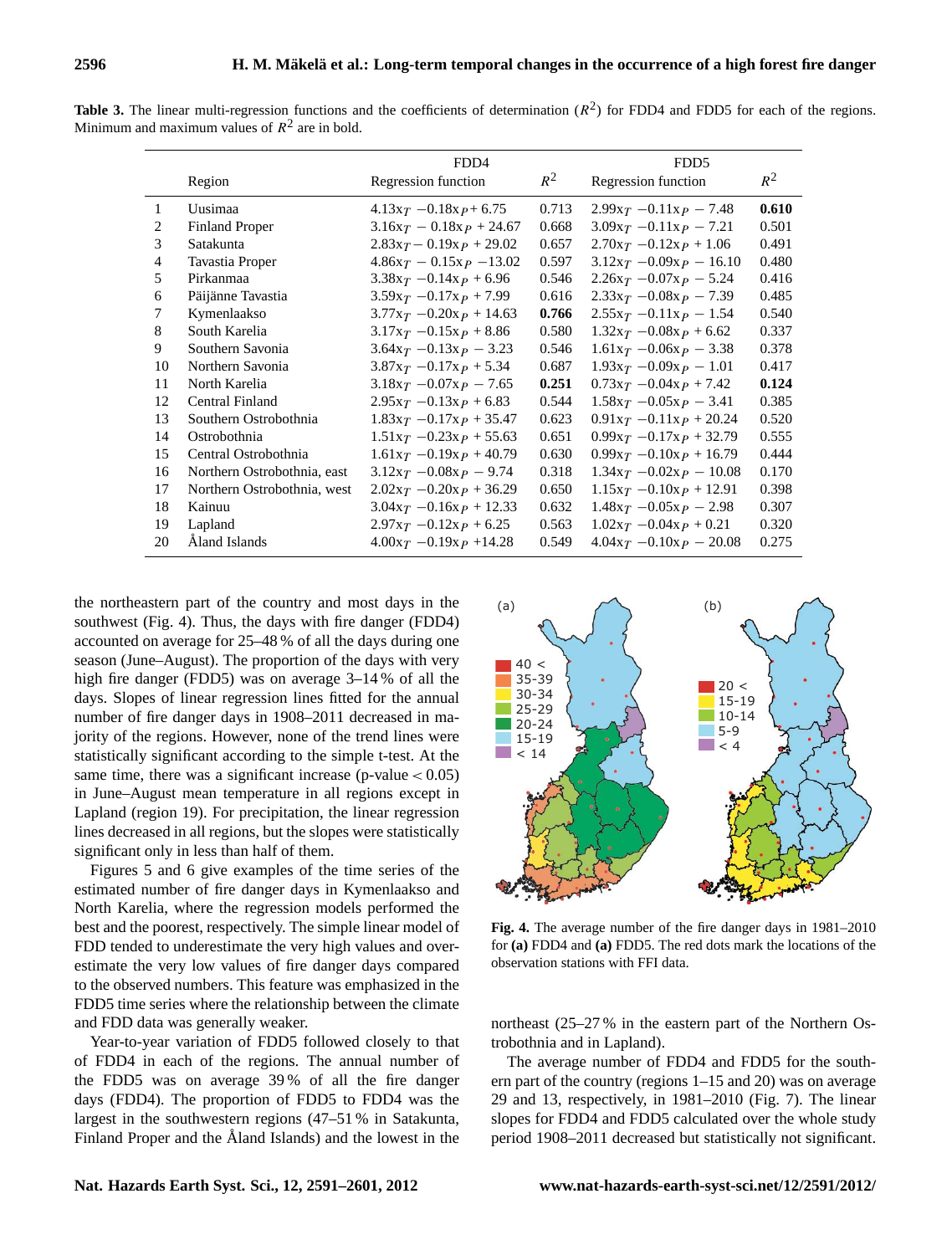|    |                             | FDD <sub>4</sub>            |       | FDD <sub>5</sub>            |       |
|----|-----------------------------|-----------------------------|-------|-----------------------------|-------|
|    | Region                      | Regression function         | $R^2$ | Regression function         | $R^2$ |
| 1  | Uusimaa                     | $4.13x_T - 0.18x_P + 6.75$  | 0.713 | $2.99x_T - 0.11x_P - 7.48$  | 0.610 |
| 2  | <b>Finland Proper</b>       | $3.16x_T - 0.18x_P + 24.67$ | 0.668 | $3.09x_T - 0.11x_P - 7.21$  | 0.501 |
| 3  | Satakunta                   | $2.83x_T - 0.19x_P + 29.02$ | 0.657 | $2.70x_T - 0.12x_P + 1.06$  | 0.491 |
| 4  | <b>Tavastia Proper</b>      | $4.86x_T - 0.15x_P - 13.02$ | 0.597 | $3.12x_T - 0.09x_P - 16.10$ | 0.480 |
| 5  | Pirkanmaa                   | $3.38x_T - 0.14x_P + 6.96$  | 0.546 | $2.26x_T - 0.07x_P - 5.24$  | 0.416 |
| 6  | Päijänne Tavastia           | $3.59x_T - 0.17x_P + 7.99$  | 0.616 | $2.33x_T - 0.08x_P - 7.39$  | 0.485 |
| 7  | Kymenlaakso                 | $3.77x_T - 0.20x_P + 14.63$ | 0.766 | $2.55x_T - 0.11x_P - 1.54$  | 0.540 |
| 8  | South Karelia               | $3.17x_T - 0.15x_P + 8.86$  | 0.580 | $1.32x_T - 0.08x_P + 6.62$  | 0.337 |
| 9  | Southern Savonia            | $3.64x_T - 0.13x_P - 3.23$  | 0.546 | $1.61x_T - 0.06x_P - 3.38$  | 0.378 |
| 10 | Northern Savonia            | $3.87x_T - 0.17x_P + 5.34$  | 0.687 | $1.93x_T - 0.09x_P - 1.01$  | 0.417 |
| 11 | North Karelia               | $3.18x_T - 0.07x_P - 7.65$  | 0.251 | $0.73x_T - 0.04x_P + 7.42$  | 0.124 |
| 12 | Central Finland             | $2.95x_T - 0.13x_P + 6.83$  | 0.544 | $1.58x_T - 0.05x_P - 3.41$  | 0.385 |
| 13 | Southern Ostrobothnia       | $1.83x_T - 0.17x_P + 35.47$ | 0.623 | $0.91x_T - 0.11x_P + 20.24$ | 0.520 |
| 14 | Ostrobothnia                | $1.51x_T - 0.23x_P + 55.63$ | 0.651 | $0.99x_T - 0.17x_P + 32.79$ | 0.555 |
| 15 | Central Ostrobothnia        | $1.61x_T - 0.19x_P + 40.79$ | 0.630 | $0.99x_T - 0.10x_P + 16.79$ | 0.444 |
| 16 | Northern Ostrobothnia, east | $3.12x_T - 0.08x_P - 9.74$  | 0.318 | $1.34x_T - 0.02x_P - 10.08$ | 0.170 |
| 17 | Northern Ostrobothnia, west | $2.02x_T - 0.20x_P + 36.29$ | 0.650 | $1.15x_T - 0.10x_P + 12.91$ | 0.398 |
| 18 | Kainuu                      | $3.04x_T - 0.16x_P + 12.33$ | 0.632 | $1.48x_T - 0.05x_P - 2.98$  | 0.307 |
| 19 | Lapland                     | $2.97x_T - 0.12x_P + 6.25$  | 0.563 | $1.02x_T - 0.04x_P + 0.21$  | 0.320 |
| 20 | Åland Islands               | $4.00x_T - 0.19x_P + 14.28$ | 0.549 | $4.04x_T - 0.10x_P - 20.08$ | 0.275 |

**Table 3.** The linear multi-regression functions and the coefficients of determination  $(R^2)$  for FDD4 and FDD5 for each of the regions. Minimum and maximum values of  $R^2$  are in bold.

the northeastern part of the country and most days in the southwest (Fig. 4). Thus, the days with fire danger (FDD4) accounted on average for 25–48 % of all the days during one season (June–August). The proportion of the days with very high fire danger (FDD5) was on average 3–14 % of all the days. Slopes of linear regression lines fitted for the annual number of fire danger days in 1908–2011 decreased in majority of the regions. However, none of the trend lines were statistically significant according to the simple t-test. At the same time, there was a significant increase (p-value  $< 0.05$ ) in June–August mean temperature in all regions except in Lapland (region 19). For precipitation, the linear regression lines decreased in all regions, but the slopes were statistically significant only in less than half of them.

Figures 5 and 6 give examples of the time series of the estimated number of fire danger days in Kymenlaakso and North Karelia, where the regression models performed the best and the poorest, respectively. The simple linear model of FDD tended to underestimate the very high values and overestimate the very low values of fire danger days compared to the observed numbers. This feature was emphasized in the FDD5 time series where the relationship between the climate and FDD data was generally weaker.

Year-to-year variation of FDD5 followed closely to that of FDD4 in each of the regions. The annual number of the FDD5 was on average 39 % of all the fire danger days (FDD4). The proportion of FDD5 to FDD4 was the largest in the southwestern regions (47–51 % in Satakunta, Finland Proper and the Aland Islands) and the lowest in the



**Fig. 4.** The average number of the fire danger days in 1981–2010 for **(a)** FDD4 and **(a)** FDD5. The red dots mark the locations of the observation stations with FFI data.

northeast (25–27 % in the eastern part of the Northern Ostrobothnia and in Lapland).

The average number of FDD4 and FDD5 for the southern part of the country (regions 1–15 and 20) was on average 29 and 13, respectively, in 1981–2010 (Fig. 7). The linear slopes for FDD4 and FDD5 calculated over the whole study period 1908–2011 decreased but statistically not significant.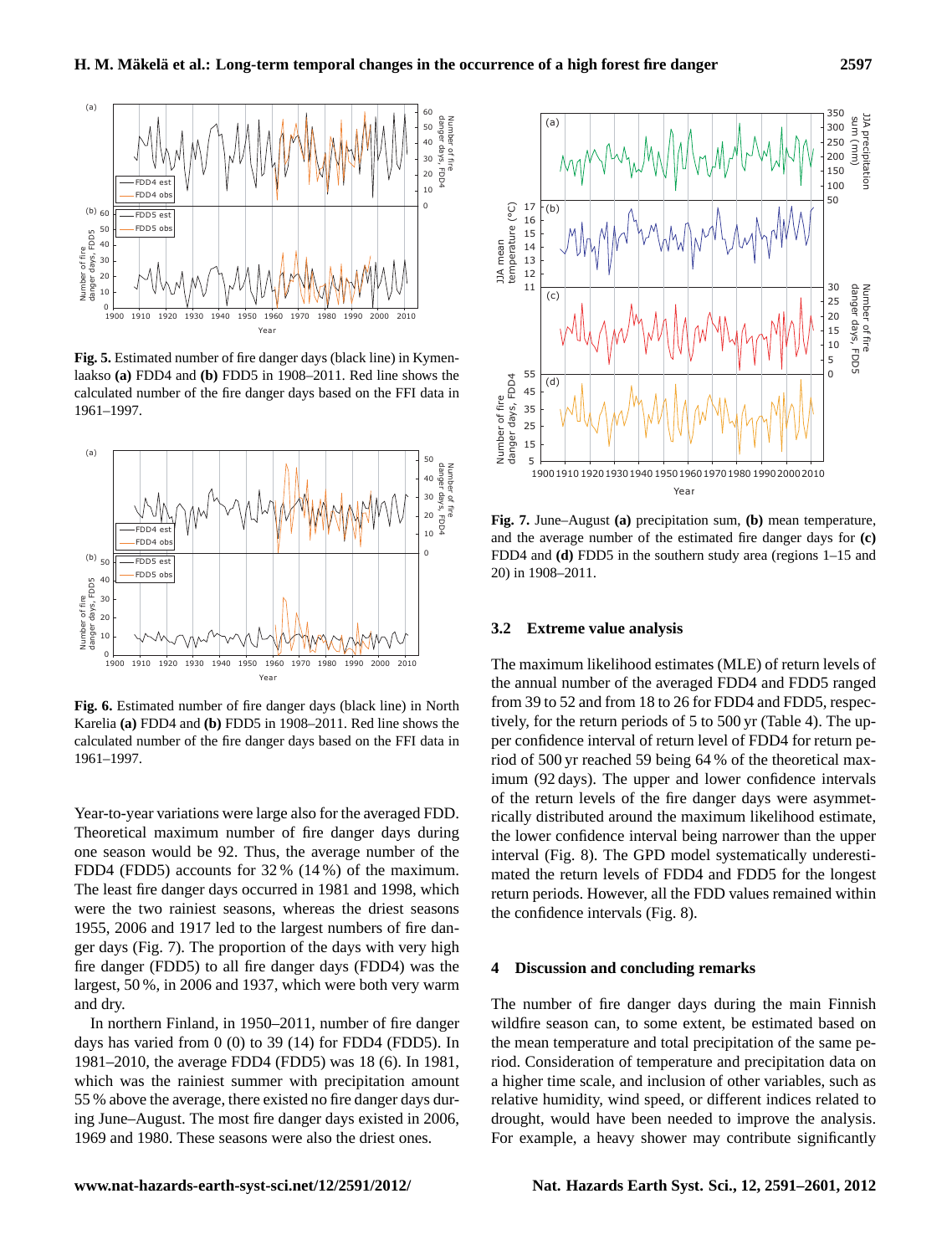

**Fig. 5.** Estimated number of fire danger days (black line) in Kymenlaakso **(a)** FDD4 and **(b)** FDD5 in 1908–2011. Red line shows the calculated number of the fire danger days based on the FFI data in 1961–1997.



**Fig. 6.** Estimated number of fire danger days (black line) in North Karelia **(a)** FDD4 and **(b)** FDD5 in 1908–2011. Red line shows the calculated number of the fire danger days based on the FFI data in 1961–1997.

Year-to-year variations were large also for the averaged FDD. Theoretical maximum number of fire danger days during one season would be 92. Thus, the average number of the FDD4 (FDD5) accounts for 32 % (14 %) of the maximum. The least fire danger days occurred in 1981 and 1998, which were the two rainiest seasons, whereas the driest seasons 1955, 2006 and 1917 led to the largest numbers of fire danger days (Fig. 7). The proportion of the days with very high fire danger (FDD5) to all fire danger days (FDD4) was the largest, 50 %, in 2006 and 1937, which were both very warm and dry.

In northern Finland, in 1950–2011, number of fire danger days has varied from 0 (0) to 39 (14) for FDD4 (FDD5). In 1981–2010, the average FDD4 (FDD5) was 18 (6). In 1981, which was the rainiest summer with precipitation amount 55 % above the average, there existed no fire danger days during June–August. The most fire danger days existed in 2006, 1969 and 1980. These seasons were also the driest ones.



**Fig. 7.** June–August **(a)** precipitation sum, **(b)** mean temperature, and the average number of the estimated fire danger days for **(c)** FDD4 and **(d)** FDD5 in the southern study area (regions 1–15 and 20) in 1908–2011.

#### **3.2 Extreme value analysis**

The maximum likelihood estimates (MLE) of return levels of the annual number of the averaged FDD4 and FDD5 ranged from 39 to 52 and from 18 to 26 for FDD4 and FDD5, respectively, for the return periods of 5 to 500 yr (Table 4). The upper confidence interval of return level of FDD4 for return period of 500 yr reached 59 being 64 % of the theoretical maximum (92 days). The upper and lower confidence intervals of the return levels of the fire danger days were asymmetrically distributed around the maximum likelihood estimate, the lower confidence interval being narrower than the upper interval (Fig. 8). The GPD model systematically underestimated the return levels of FDD4 and FDD5 for the longest return periods. However, all the FDD values remained within the confidence intervals (Fig. 8).

#### **4 Discussion and concluding remarks**

The number of fire danger days during the main Finnish wildfire season can, to some extent, be estimated based on the mean temperature and total precipitation of the same period. Consideration of temperature and precipitation data on a higher time scale, and inclusion of other variables, such as relative humidity, wind speed, or different indices related to drought, would have been needed to improve the analysis. For example, a heavy shower may contribute significantly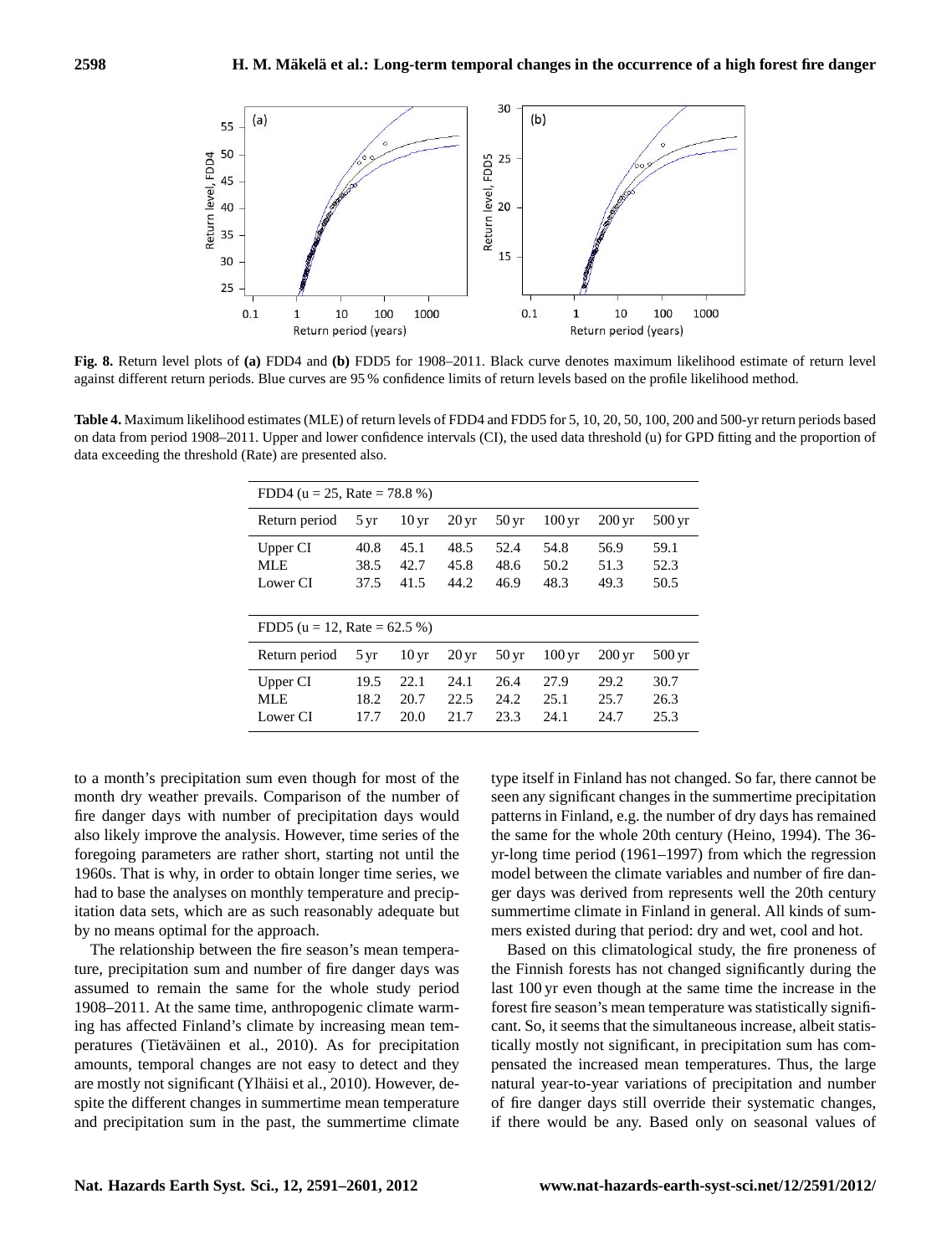

**Fig. 8.** Return level plots of **(a)** FDD4 and **(b)** FDD5 for 1908–2011. Black curve denotes maximum likelihood estimate of return level against different return periods. Blue curves are 95 % confidence limits of return levels based on the profile likelihood method.

**Table 4.** Maximum likelihood estimates (MLE) of return levels of FDD4 and FDD5 for 5, 10, 20, 50, 100, 200 and 500-yr return periods based on data from period 1908–2011. Upper and lower confidence intervals (CI), the used data threshold (u) for GPD fitting and the proportion of data exceeding the threshold (Rate) are presented also.

| FDD4 ( $u = 25$ , Rate = 78.8 %)   |                      |                      |                      |                      |                      |                      |                      |
|------------------------------------|----------------------|----------------------|----------------------|----------------------|----------------------|----------------------|----------------------|
| Return period                      | $5 \,\mathrm{yr}$    | 10 <sub>yr</sub>     | $20 \,\mathrm{yr}$   | $50 \,\mathrm{yr}$   | $100 \,\mathrm{yr}$  | $200 \,\mathrm{yr}$  | $500 \,\mathrm{yr}$  |
| Upper CI<br><b>MLE</b><br>Lower CI | 40.8<br>38.5<br>37.5 | 45.1<br>42.7<br>41.5 | 48.5<br>45.8<br>44.2 | 52.4<br>48.6<br>46.9 | 54.8<br>50.2<br>48.3 | 56.9<br>51.3<br>49.3 | 59.1<br>52.3<br>50.5 |
| FDD5 (u = 12, Rate = $62.5\%$ )    |                      |                      |                      |                      |                      |                      |                      |
| Return period                      | 5 yr                 | $10 \,\mathrm{yr}$   | $20 \,\mathrm{yr}$   | $50 \,\mathrm{yr}$   | $100 \,\mathrm{yr}$  | $200 \,\mathrm{yr}$  | 500 yr               |
| Upper CI<br><b>MLE</b><br>Lower CI | 19.5<br>18.2<br>17.7 | 22.1<br>20.7<br>20.0 | 24.1<br>22.5<br>21.7 | 26.4<br>24.2<br>23.3 | 27.9<br>25.1<br>24.1 | 29.2<br>25.7<br>24.7 | 30.7<br>26.3<br>25.3 |

to a month's precipitation sum even though for most of the month dry weather prevails. Comparison of the number of fire danger days with number of precipitation days would also likely improve the analysis. However, time series of the foregoing parameters are rather short, starting not until the 1960s. That is why, in order to obtain longer time series, we had to base the analyses on monthly temperature and precipitation data sets, which are as such reasonably adequate but by no means optimal for the approach.

The relationship between the fire season's mean temperature, precipitation sum and number of fire danger days was assumed to remain the same for the whole study period 1908–2011. At the same time, anthropogenic climate warming has affected Finland's climate by increasing mean temperatures (Tietäväinen et al., 2010). As for precipitation amounts, temporal changes are not easy to detect and they are mostly not significant (Ylhäisi et al., 2010). However, despite the different changes in summertime mean temperature and precipitation sum in the past, the summertime climate type itself in Finland has not changed. So far, there cannot be seen any significant changes in the summertime precipitation patterns in Finland, e.g. the number of dry days has remained the same for the whole 20th century (Heino, 1994). The 36 yr-long time period (1961–1997) from which the regression model between the climate variables and number of fire danger days was derived from represents well the 20th century summertime climate in Finland in general. All kinds of summers existed during that period: dry and wet, cool and hot.

Based on this climatological study, the fire proneness of the Finnish forests has not changed significantly during the last 100 yr even though at the same time the increase in the forest fire season's mean temperature was statistically significant. So, it seems that the simultaneous increase, albeit statistically mostly not significant, in precipitation sum has compensated the increased mean temperatures. Thus, the large natural year-to-year variations of precipitation and number of fire danger days still override their systematic changes, if there would be any. Based only on seasonal values of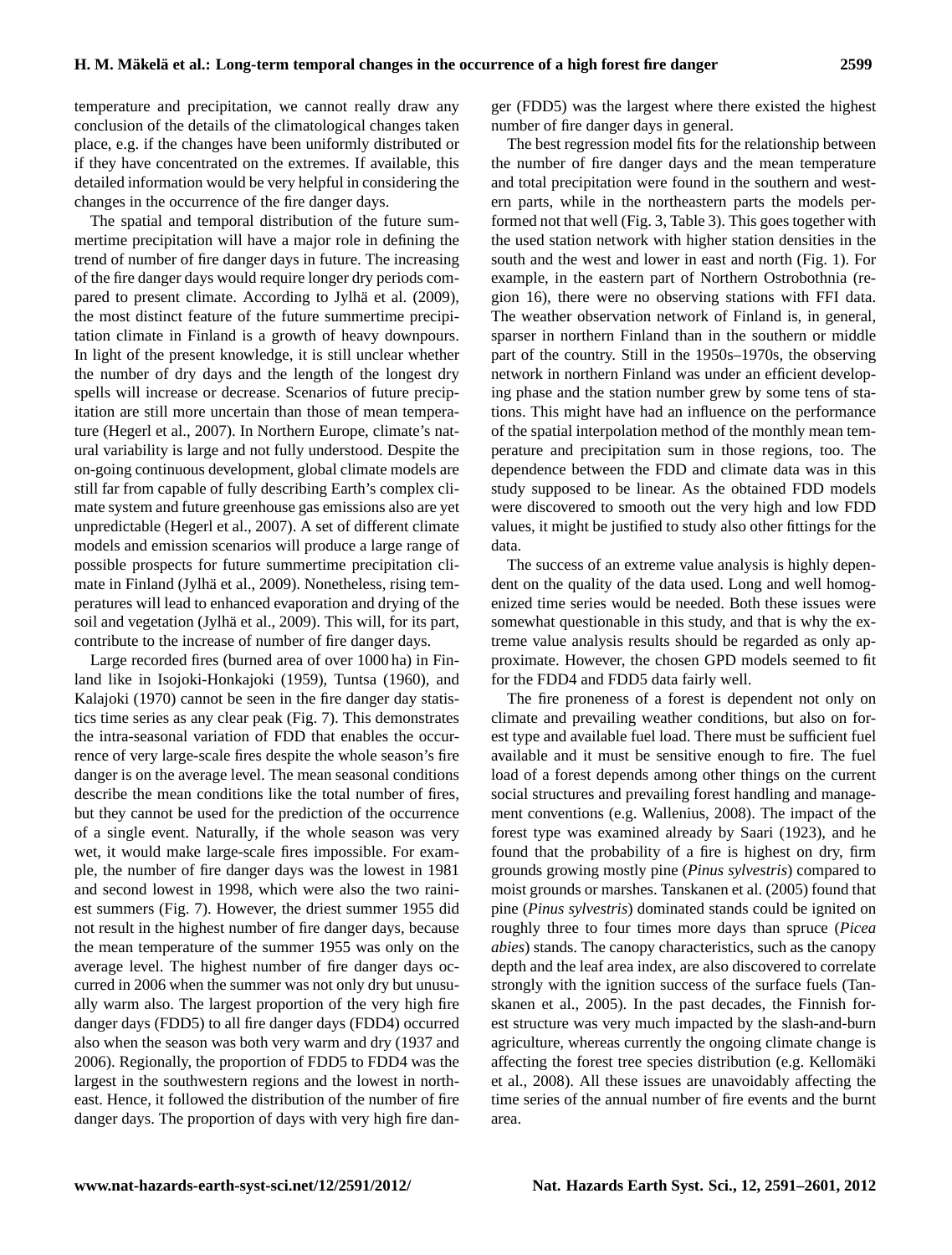temperature and precipitation, we cannot really draw any conclusion of the details of the climatological changes taken place, e.g. if the changes have been uniformly distributed or if they have concentrated on the extremes. If available, this detailed information would be very helpful in considering the changes in the occurrence of the fire danger days.

The spatial and temporal distribution of the future summertime precipitation will have a major role in defining the trend of number of fire danger days in future. The increasing of the fire danger days would require longer dry periods compared to present climate. According to Jylhä et al. (2009), the most distinct feature of the future summertime precipitation climate in Finland is a growth of heavy downpours. In light of the present knowledge, it is still unclear whether the number of dry days and the length of the longest dry spells will increase or decrease. Scenarios of future precipitation are still more uncertain than those of mean temperature (Hegerl et al., 2007). In Northern Europe, climate's natural variability is large and not fully understood. Despite the on-going continuous development, global climate models are still far from capable of fully describing Earth's complex climate system and future greenhouse gas emissions also are yet unpredictable (Hegerl et al., 2007). A set of different climate models and emission scenarios will produce a large range of possible prospects for future summertime precipitation climate in Finland (Jylhä et al., 2009). Nonetheless, rising temperatures will lead to enhanced evaporation and drying of the soil and vegetation (Jylhä et al., 2009). This will, for its part, contribute to the increase of number of fire danger days.

Large recorded fires (burned area of over 1000 ha) in Finland like in Isojoki-Honkajoki (1959), Tuntsa (1960), and Kalajoki (1970) cannot be seen in the fire danger day statistics time series as any clear peak (Fig. 7). This demonstrates the intra-seasonal variation of FDD that enables the occurrence of very large-scale fires despite the whole season's fire danger is on the average level. The mean seasonal conditions describe the mean conditions like the total number of fires, but they cannot be used for the prediction of the occurrence of a single event. Naturally, if the whole season was very wet, it would make large-scale fires impossible. For example, the number of fire danger days was the lowest in 1981 and second lowest in 1998, which were also the two rainiest summers (Fig. 7). However, the driest summer 1955 did not result in the highest number of fire danger days, because the mean temperature of the summer 1955 was only on the average level. The highest number of fire danger days occurred in 2006 when the summer was not only dry but unusually warm also. The largest proportion of the very high fire danger days (FDD5) to all fire danger days (FDD4) occurred also when the season was both very warm and dry (1937 and 2006). Regionally, the proportion of FDD5 to FDD4 was the largest in the southwestern regions and the lowest in northeast. Hence, it followed the distribution of the number of fire danger days. The proportion of days with very high fire danger (FDD5) was the largest where there existed the highest number of fire danger days in general.

The best regression model fits for the relationship between the number of fire danger days and the mean temperature and total precipitation were found in the southern and western parts, while in the northeastern parts the models performed not that well (Fig. 3, Table 3). This goes together with the used station network with higher station densities in the south and the west and lower in east and north (Fig. 1). For example, in the eastern part of Northern Ostrobothnia (region 16), there were no observing stations with FFI data. The weather observation network of Finland is, in general, sparser in northern Finland than in the southern or middle part of the country. Still in the 1950s–1970s, the observing network in northern Finland was under an efficient developing phase and the station number grew by some tens of stations. This might have had an influence on the performance of the spatial interpolation method of the monthly mean temperature and precipitation sum in those regions, too. The dependence between the FDD and climate data was in this study supposed to be linear. As the obtained FDD models were discovered to smooth out the very high and low FDD values, it might be justified to study also other fittings for the data.

The success of an extreme value analysis is highly dependent on the quality of the data used. Long and well homogenized time series would be needed. Both these issues were somewhat questionable in this study, and that is why the extreme value analysis results should be regarded as only approximate. However, the chosen GPD models seemed to fit for the FDD4 and FDD5 data fairly well.

The fire proneness of a forest is dependent not only on climate and prevailing weather conditions, but also on forest type and available fuel load. There must be sufficient fuel available and it must be sensitive enough to fire. The fuel load of a forest depends among other things on the current social structures and prevailing forest handling and management conventions (e.g. Wallenius, 2008). The impact of the forest type was examined already by Saari (1923), and he found that the probability of a fire is highest on dry, firm grounds growing mostly pine (*Pinus sylvestris*) compared to moist grounds or marshes. Tanskanen et al. (2005) found that pine (*Pinus sylvestris*) dominated stands could be ignited on roughly three to four times more days than spruce (*Picea abies*) stands. The canopy characteristics, such as the canopy depth and the leaf area index, are also discovered to correlate strongly with the ignition success of the surface fuels (Tanskanen et al., 2005). In the past decades, the Finnish forest structure was very much impacted by the slash-and-burn agriculture, whereas currently the ongoing climate change is affecting the forest tree species distribution (e.g. Kellomaki ¨ et al., 2008). All these issues are unavoidably affecting the time series of the annual number of fire events and the burnt area.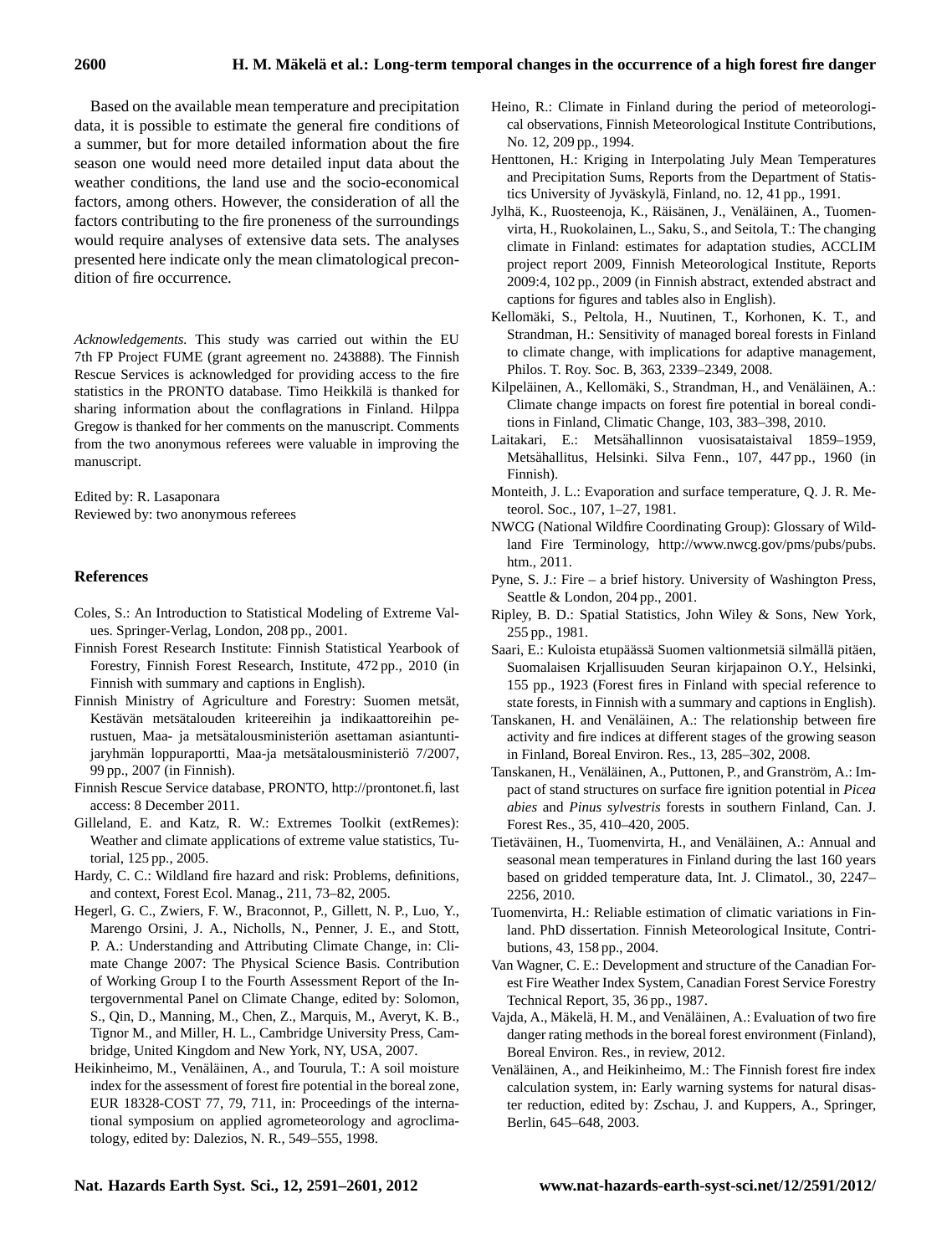Based on the available mean temperature and precipitation data, it is possible to estimate the general fire conditions of a summer, but for more detailed information about the fire season one would need more detailed input data about the weather conditions, the land use and the socio-economical factors, among others. However, the consideration of all the factors contributing to the fire proneness of the surroundings would require analyses of extensive data sets. The analyses presented here indicate only the mean climatological precondition of fire occurrence.

*Acknowledgements.* This study was carried out within the EU 7th FP Project FUME (grant agreement no. 243888). The Finnish Rescue Services is acknowledged for providing access to the fire statistics in the PRONTO database. Timo Heikkilä is thanked for sharing information about the conflagrations in Finland. Hilppa Gregow is thanked for her comments on the manuscript. Comments from the two anonymous referees were valuable in improving the manuscript.

Edited by: R. Lasaponara Reviewed by: two anonymous referees

# **References**

- Coles, S.: An Introduction to Statistical Modeling of Extreme Values. Springer-Verlag, London, 208 pp., 2001.
- Finnish Forest Research Institute: Finnish Statistical Yearbook of Forestry, Finnish Forest Research, Institute, 472 pp., 2010 (in Finnish with summary and captions in English).
- Finnish Ministry of Agriculture and Forestry: Suomen metsät, Kestävän metsätalouden kriteereihin ja indikaattoreihin perustuen, Maa- ja metsätalousministeriön asettaman asiantuntijaryhmän loppuraportti, Maa-ja metsätalousministeriö 7/2007, 99 pp., 2007 (in Finnish).
- Finnish Rescue Service database, PRONTO, [http://prontonet.fi,](http://prontonet.fi) last access: 8 December 2011.
- Gilleland, E. and Katz, R. W.: Extremes Toolkit (extRemes): Weather and climate applications of extreme value statistics, Tutorial, 125 pp., 2005.
- Hardy, C. C.: Wildland fire hazard and risk: Problems, definitions, and context, Forest Ecol. Manag., 211, 73–82, 2005.
- Hegerl, G. C., Zwiers, F. W., Braconnot, P., Gillett, N. P., Luo, Y., Marengo Orsini, J. A., Nicholls, N., Penner, J. E., and Stott, P. A.: Understanding and Attributing Climate Change, in: Climate Change 2007: The Physical Science Basis. Contribution of Working Group I to the Fourth Assessment Report of the Intergovernmental Panel on Climate Change, edited by: Solomon, S., Qin, D., Manning, M., Chen, Z., Marquis, M., Averyt, K. B., Tignor M., and Miller, H. L., Cambridge University Press, Cambridge, United Kingdom and New York, NY, USA, 2007.
- Heikinheimo, M., Venäläinen, A., and Tourula, T.: A soil moisture index for the assessment of forest fire potential in the boreal zone, EUR 18328-COST 77, 79, 711, in: Proceedings of the international symposium on applied agrometeorology and agroclimatology, edited by: Dalezios, N. R., 549–555, 1998.
- Heino, R.: Climate in Finland during the period of meteorological observations, Finnish Meteorological Institute Contributions, No. 12, 209 pp., 1994.
- Henttonen, H.: Kriging in Interpolating July Mean Temperatures and Precipitation Sums, Reports from the Department of Statistics University of Jyväskylä, Finland, no. 12, 41 pp., 1991.
- Jylhä, K., Ruosteenoja, K., Räisänen, J., Venäläinen, A., Tuomenvirta, H., Ruokolainen, L., Saku, S., and Seitola, T.: The changing climate in Finland: estimates for adaptation studies, ACCLIM project report 2009, Finnish Meteorological Institute, Reports 2009:4, 102 pp., 2009 (in Finnish abstract, extended abstract and captions for figures and tables also in English).
- Kellomaki, S., Peltola, H., Nuutinen, T., Korhonen, K. T., and ¨ Strandman, H.: Sensitivity of managed boreal forests in Finland to climate change, with implications for adaptive management, Philos. T. Roy. Soc. B, 363, 2339–2349, 2008.
- Kilpeläinen, A., Kellomäki, S., Strandman, H., and Venäläinen, A.: Climate change impacts on forest fire potential in boreal conditions in Finland, Climatic Change, 103, 383–398, 2010.
- Laitakari, E.: Metsähallinnon vuosisataistaival 1859–1959, Metsähallitus, Helsinki. Silva Fenn., 107, 447 pp., 1960 (in Finnish).
- Monteith, J. L.: Evaporation and surface temperature, Q. J. R. Meteorol. Soc., 107, 1–27, 1981.
- NWCG (National Wildfire Coordinating Group): Glossary of Wildland Fire Terminology, [http://www.nwcg.gov/pms/pubs/pubs.](http://www.nwcg.gov/pms/pubs/pubs.htm.) [htm.,](http://www.nwcg.gov/pms/pubs/pubs.htm.) 2011.
- Pyne, S. J.: Fire a brief history. University of Washington Press, Seattle & London, 204 pp., 2001.
- Ripley, B. D.: Spatial Statistics, John Wiley & Sons, New York, 255 pp., 1981.
- Saari, E.: Kuloista etupäässä Suomen valtionmetsiä silmällä pitäen, Suomalaisen Krjallisuuden Seuran kirjapainon O.Y., Helsinki, 155 pp., 1923 (Forest fires in Finland with special reference to state forests, in Finnish with a summary and captions in English).
- Tanskanen, H. and Venäläinen, A.: The relationship between fire activity and fire indices at different stages of the growing season in Finland, Boreal Environ. Res., 13, 285–302, 2008.
- Tanskanen, H., Venäläinen, A., Puttonen, P., and Granström, A.: Impact of stand structures on surface fire ignition potential in *Picea abies* and *Pinus sylvestris* forests in southern Finland, Can. J. Forest Res., 35, 410–420, 2005.
- Tietäväinen, H., Tuomenvirta, H., and Venäläinen, A.: Annual and seasonal mean temperatures in Finland during the last 160 years based on gridded temperature data, Int. J. Climatol., 30, 2247– 2256, 2010.
- Tuomenvirta, H.: Reliable estimation of climatic variations in Finland. PhD dissertation. Finnish Meteorological Insitute, Contributions, 43, 158 pp., 2004.
- Van Wagner, C. E.: Development and structure of the Canadian Forest Fire Weather Index System, Canadian Forest Service Forestry Technical Report, 35, 36 pp., 1987.
- Vajda, A., Mäkelä, H. M., and Venäläinen, A.: Evaluation of two fire danger rating methods in the boreal forest environment (Finland), Boreal Environ. Res., in review, 2012.
- Venäläinen, A., and Heikinheimo, M.: The Finnish forest fire index calculation system, in: Early warning systems for natural disaster reduction, edited by: Zschau, J. and Kuppers, A., Springer, Berlin, 645–648, 2003.